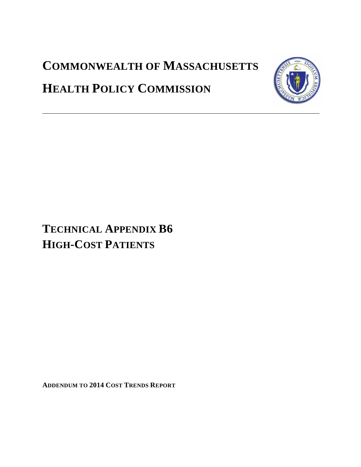## **COMMONWEALTH OF MASSACHUSETTS**



# **HEALTH POLICY COMMISSION**

## **TECHNICAL APPENDIX B6 HIGH-COST PATIENTS**

**ADDENDUM TO 2014 COST TRENDS REPORT**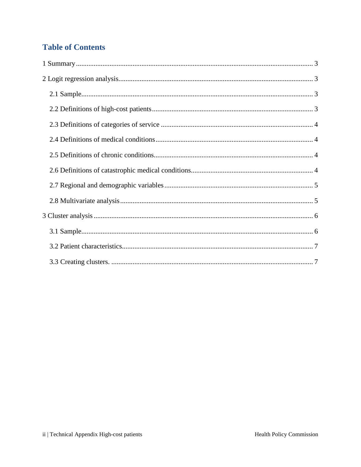### **Table of Contents**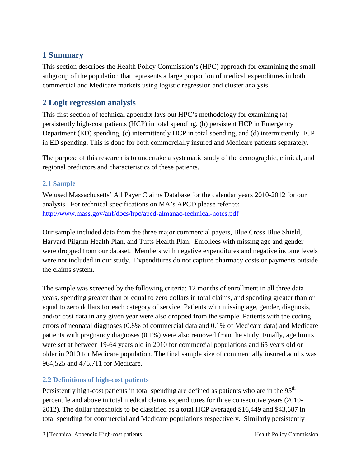### <span id="page-2-0"></span>**1 Summary**

This section describes the Health Policy Commission's (HPC) approach for examining the small subgroup of the population that represents a large proportion of medical expenditures in both commercial and Medicare markets using logistic regression and cluster analysis.

### <span id="page-2-1"></span>**2 Logit regression analysis**

This first section of technical appendix lays out HPC's methodology for examining (a) persistently high-cost patients (HCP) in total spending, (b) persistent HCP in Emergency Department (ED) spending, (c) intermittently HCP in total spending, and (d) intermittently HCP in ED spending. This is done for both commercially insured and Medicare patients separately.

The purpose of this research is to undertake a systematic study of the demographic, clinical, and regional predictors and characteristics of these patients.

#### <span id="page-2-2"></span>**2.1 Sample**

We used Massachusetts' All Payer Claims Database for the calendar years 2010-2012 for our analysis. For technical specifications on MA's APCD please refer to: <http://www.mass.gov/anf/docs/hpc/apcd-almanac-technical-notes.pdf>

Our sample included data from the three major commercial payers, Blue Cross Blue Shield, Harvard Pilgrim Health Plan, and Tufts Health Plan. Enrollees with missing age and gender were dropped from our dataset. Members with negative expenditures and negative income levels were not included in our study. Expenditures do not capture pharmacy costs or payments outside the claims system.

The sample was screened by the following criteria: 12 months of enrollment in all three data years, spending greater than or equal to zero dollars in total claims, and spending greater than or equal to zero dollars for each category of service. Patients with missing age, gender, diagnosis, and/or cost data in any given year were also dropped from the sample. Patients with the coding errors of neonatal diagnoses (0.8% of commercial data and 0.1% of Medicare data) and Medicare patients with pregnancy diagnoses (0.1%) were also removed from the study. Finally, age limits were set at between 19-64 years old in 2010 for commercial populations and 65 years old or older in 2010 for Medicare population. The final sample size of commercially insured adults was 964,525 and 476,711 for Medicare.

#### <span id="page-2-3"></span>**2.2 Definitions of high-cost patients**

Persistently high-cost patients in total spending are defined as patients who are in the 95<sup>th</sup> percentile and above in total medical claims expenditures for three consecutive years (2010- 2012). The dollar thresholds to be classified as a total HCP averaged \$16,449 and \$43,687 in total spending for commercial and Medicare populations respectively. Similarly persistently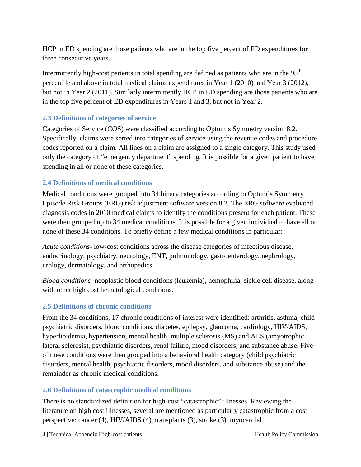HCP in ED spending are those patients who are in the top five percent of ED expenditures for three consecutive years.

Intermittently high-cost patients in total spending are defined as patients who are in the  $95<sup>th</sup>$ percentile and above in total medical claims expenditures in Year 1 (2010) and Year 3 (2012), but not in Year 2 (2011). Similarly intermittently HCP in ED spending are those patients who are in the top five percent of ED expenditures in Years 1 and 3, but not in Year 2.

#### <span id="page-3-0"></span>**2.3 Definitions of categories of service**

Categories of Service (COS) were classified according to Optum's Symmetry version 8.2. Specifically, claims were sorted into categories of service using the revenue codes and procedure codes reported on a claim. All lines on a claim are assigned to a single category. This study used only the category of "emergency department" spending. It is possible for a given patient to have spending in all or none of these categories.

#### <span id="page-3-1"></span>**2.4 Definitions of medical conditions**

Medical conditions were grouped into 34 binary categories according to Optum's Symmetry Episode Risk Groups (ERG) risk adjustment software version 8.2. The ERG software evaluated diagnosis codes in 2010 medical claims to identify the conditions present for each patient. These were then grouped up to 34 medical conditions. It is possible for a given individual to have all or none of these 34 conditions. To briefly define a few medical conditions in particular:

*Acute conditions*- low-cost conditions across the disease categories of infectious disease, endocrinology, psychiatry, neurology, ENT, pulmonology, gastroenterology, nephrology, urology, dermatology, and orthopedics.

*Blood conditions*- neoplastic blood conditions (leukemia), hemophilia, sickle cell disease, along with other high cost hematological conditions.

#### <span id="page-3-2"></span>**2.5 Definitions of chronic conditions**

From the 34 conditions, 17 chronic conditions of interest were identified: arthritis, asthma, child psychiatric disorders, blood conditions, diabetes, epilepsy, glaucoma, cardiology, HIV/AIDS, hyperlipidemia, hypertension, mental health, multiple sclerosis (MS) and ALS (amyotrophic lateral sclerosis), psychiatric disorders, renal failure, mood disorders, and substance abuse. Five of these conditions were then grouped into a behavioral health category (child psychiatric disorders, mental health, psychiatric disorders, mood disorders, and substance abuse) and the remainder as chronic medical conditions.

#### <span id="page-3-3"></span>**2.6 Definitions of catastrophic medical conditions**

There is no standardized definition for high-cost "catastrophic" illnesses. Reviewing the literature on high cost illnesses, several are mentioned as particularly catastrophic from a cost perspective: cancer (4), HIV/AIDS (4), transplants (3), stroke (3), myocardial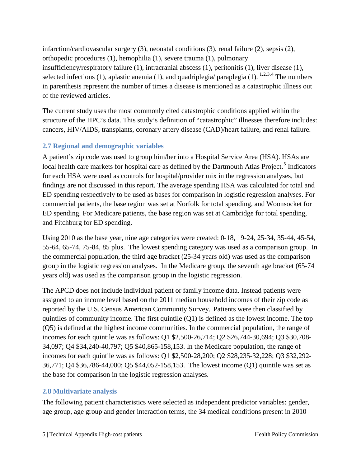infarction/cardiovascular surgery (3), neonatal conditions (3), renal failure (2), sepsis (2), orthopedic procedures (1), hemophilia (1), severe trauma (1), pulmonary insufficiency/respiratory failure (1), intracranial abscess (1), peritonitis (1), liver disease (1), selected infections ([1](#page-7-0)), aplastic anemia (1), and quadriplegia/ paraplegia (1).  $^{1,2,3,4}$  $^{1,2,3,4}$  $^{1,2,3,4}$  $^{1,2,3,4}$  $^{1,2,3,4}$  The numbers in parenthesis represent the number of times a disease is mentioned as a catastrophic illness out of the reviewed articles.

The current study uses the most commonly cited catastrophic conditions applied within the structure of the HPC's data. This study's definition of "catastrophic" illnesses therefore includes: cancers, HIV/AIDS, transplants, coronary artery disease (CAD)/heart failure, and renal failure.

#### <span id="page-4-0"></span>**2.7 Regional and demographic variables**

A patient's zip code was used to group him/her into a Hospital Service Area (HSA). HSAs are local health care markets for hospital care as defined by the Dartmouth Atlas Project.<sup>[5](#page-7-4)</sup> Indicators for each HSA were used as controls for hospital/provider mix in the regression analyses, but findings are not discussed in this report. The average spending HSA was calculated for total and ED spending respectively to be used as bases for comparison in logistic regression analyses. For commercial patients, the base region was set at Norfolk for total spending, and Woonsocket for ED spending. For Medicare patients, the base region was set at Cambridge for total spending, and Fitchburg for ED spending.

Using 2010 as the base year, nine age categories were created: 0-18, 19-24, 25-34, 35-44, 45-54, 55-64, 65-74, 75-84, 85 plus. The lowest spending category was used as a comparison group. In the commercial population, the third age bracket (25-34 years old) was used as the comparison group in the logistic regression analyses. In the Medicare group, the seventh age bracket (65-74 years old) was used as the comparison group in the logistic regression.

The APCD does not include individual patient or family income data. Instead patients were assigned to an income level based on the 2011 median household incomes of their zip code as reported by the U.S. Census American Community Survey. Patients were then classified by quintiles of community income. The first quintile (Q1) is defined as the lowest income. The top (Q5) is defined at the highest income communities. In the commercial population, the range of incomes for each quintile was as follows: Q1 \$2,500-26,714; Q2 \$26,744-30,694; Q3 \$30,708- 34,097; Q4 \$34,240-40,797; Q5 \$40,865-158,153. In the Medicare population, the range of incomes for each quintile was as follows: Q1 \$2,500-28,200; Q2 \$28,235-32,228; Q3 \$32,292- 36,771; Q4 \$36,786-44,000; Q5 \$44,052-158,153. The lowest income (Q1) quintile was set as the base for comparison in the logistic regression analyses.

#### <span id="page-4-1"></span>**2.8 Multivariate analysis**

The following patient characteristics were selected as independent predictor variables: gender, age group, age group and gender interaction terms, the 34 medical conditions present in 2010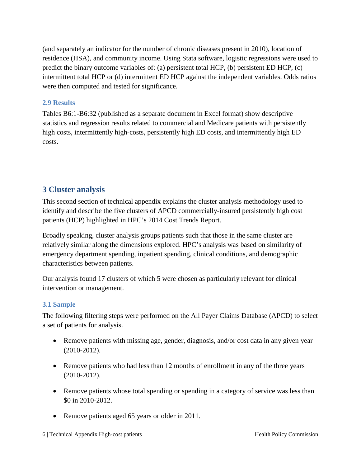(and separately an indicator for the number of chronic diseases present in 2010), location of residence (HSA), and community income. Using Stata software, logistic regressions were used to predict the binary outcome variables of: (a) persistent total HCP, (b) persistent ED HCP, (c) intermittent total HCP or (d) intermittent ED HCP against the independent variables. Odds ratios were then computed and tested for significance.

#### **2.9 Results**

Tables B6:1-B6:32 (published as a separate document in Excel format) show descriptive statistics and regression results related to commercial and Medicare patients with persistently high costs, intermittently high-costs, persistently high ED costs, and intermittently high ED costs.

#### <span id="page-5-0"></span>**3 Cluster analysis**

This second section of technical appendix explains the cluster analysis methodology used to identify and describe the five clusters of APCD commercially-insured persistently high cost patients (HCP) highlighted in HPC's 2014 Cost Trends Report.

Broadly speaking, cluster analysis groups patients such that those in the same cluster are relatively similar along the dimensions explored. HPC's analysis was based on similarity of emergency department spending, inpatient spending, clinical conditions, and demographic characteristics between patients.

Our analysis found 17 clusters of which 5 were chosen as particularly relevant for clinical intervention or management.

#### <span id="page-5-1"></span>**3.1 Sample**

The following filtering steps were performed on the All Payer Claims Database (APCD) to select a set of patients for analysis.

- Remove patients with missing age, gender, diagnosis, and/or cost data in any given year (2010-2012).
- Remove patients who had less than 12 months of enrollment in any of the three years (2010-2012).
- Remove patients whose total spending or spending in a category of service was less than \$0 in 2010-2012.
- Remove patients aged 65 years or older in 2011.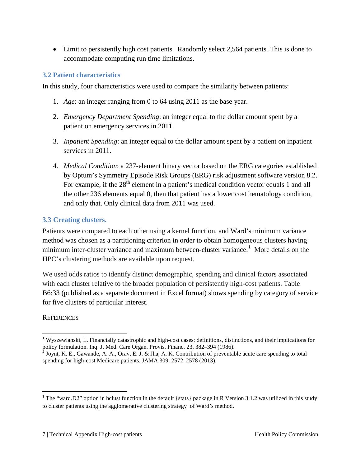• Limit to persistently high cost patients. Randomly select 2,564 patients. This is done to accommodate computing run time limitations.

#### <span id="page-6-0"></span>**3.2 Patient characteristics**

In this study, four characteristics were used to compare the similarity between patients:

- 1. *Age*: an integer ranging from 0 to 64 using 2011 as the base year.
- 2. *Emergency Department Spending*: an integer equal to the dollar amount spent by a patient on emergency services in 2011.
- 3. *Inpatient Spending*: an integer equal to the dollar amount spent by a patient on inpatient services in 2011.
- 4. *Medical Condition*: a 237-element binary vector based on the ERG categories established by Optum's Symmetry Episode Risk Groups (ERG) risk adjustment software version 8.2. For example, if the  $28<sup>th</sup>$  element in a patient's medical condition vector equals 1 and all the other 236 elements equal 0, then that patient has a lower cost hematology condition, and only that. Only clinical data from 2011 was used.

#### <span id="page-6-1"></span>**3.3 Creating clusters.**

Patients were compared to each other using a kernel function, and Ward's minimum variance method was chosen as a partitioning criterion in order to obtain homogeneous clusters having minimum inter-cluster variance and maximum between-cluster variance.<sup>[1](#page-6-2)</sup> More details on the HPC's clustering methods are available upon request.

We used odds ratios to identify distinct demographic, spending and clinical factors associated with each cluster relative to the broader population of persistently high-cost patients. Table B6:33 (published as a separate document in Excel format) shows spending by category of service for five clusters of particular interest.

#### **REFERENCES**

<sup>&</sup>lt;sup>1</sup> Wyszewianski, L. Financially catastrophic and high-cost cases: definitions, distinctions, and their implications for policy formulation. Inq. J. Med. Care Organ. Provis. Financ. 23, 382–394 (1986). <sup>2</sup> Joynt, K. E., Gawande, A. A., Orav, E. J. & Jha, A. K. Contribution of preventable acute care spending to total  $\overline{a}$ 

spending for high-cost Medicare patients. JAMA 309, 2572–2578 (2013).

<span id="page-6-2"></span><sup>&</sup>lt;sup>1</sup> The "ward.D2" option in hclust function in the default {stats} package in R Version 3.1.2 was utilized in this study to cluster patients using the agglomerative clustering strategy of Ward's method.  $\overline{a}$